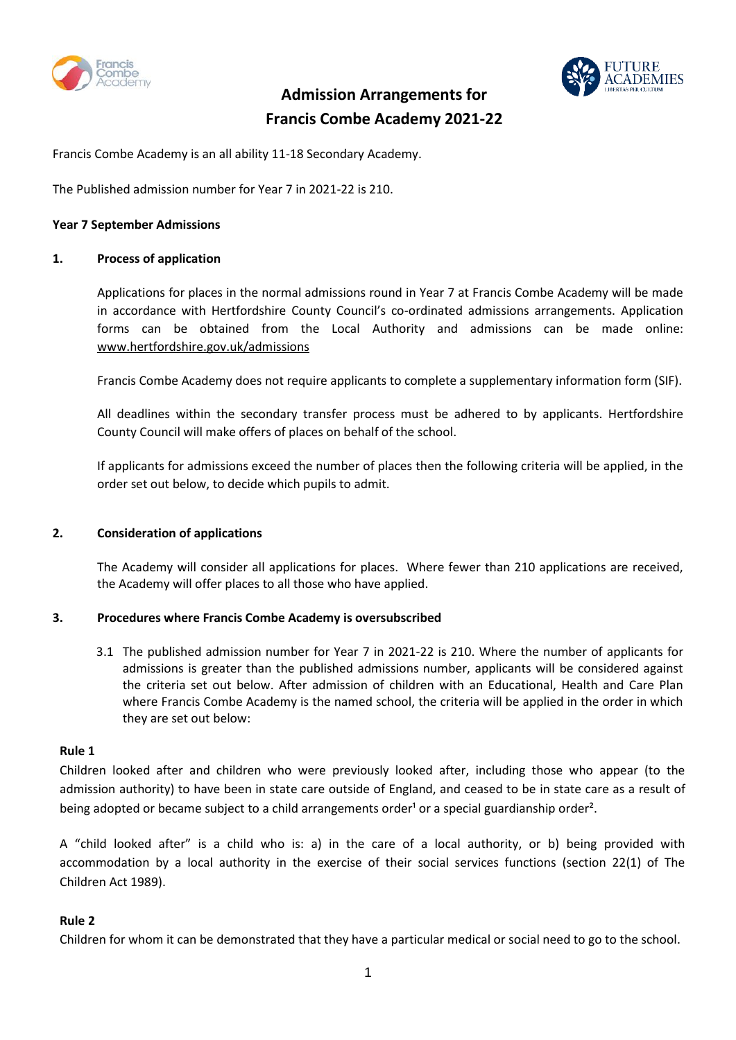



# **Admission Arrangements for Francis Combe Academy 2021-22**

Francis Combe Academy is an all ability 11-18 Secondary Academy.

The Published admission number for Year 7 in 2021-22 is 210.

## **Year 7 September Admissions**

### **1. Process of application**

Applications for places in the normal admissions round in Year 7 at Francis Combe Academy will be made in accordance with Hertfordshire County Council's co-ordinated admissions arrangements. Application forms can be obtained from the Local Authority and admissions can be made online: www.hertfordshire.gov.uk/admissions

Francis Combe Academy does not require applicants to complete a supplementary information form (SIF).

All deadlines within the secondary transfer process must be adhered to by applicants. Hertfordshire County Council will make offers of places on behalf of the school.

If applicants for admissions exceed the number of places then the following criteria will be applied, in the order set out below, to decide which pupils to admit.

## **2. Consideration of applications**

The Academy will consider all applications for places. Where fewer than 210 applications are received, the Academy will offer places to all those who have applied.

## **3. Procedures where Francis Combe Academy is oversubscribed**

3.1 The published admission number for Year 7 in 2021-22 is 210. Where the number of applicants for admissions is greater than the published admissions number, applicants will be considered against the criteria set out below. After admission of children with an Educational, Health and Care Plan where Francis Combe Academy is the named school, the criteria will be applied in the order in which they are set out below:

## **Rule 1**

Children looked after and children who were previously looked after, including those who appear (to the admission authority) to have been in state care outside of England, and ceased to be in state care as a result of being adopted or became subject to a child arrangements order<sup>1</sup> or a special guardianship order<sup>2</sup>.

A "child looked after" is a child who is: a) in the care of a local authority, or b) being provided with accommodation by a local authority in the exercise of their social services functions (section 22(1) of The Children Act 1989).

## **Rule 2**

Children for whom it can be demonstrated that they have a particular medical or social need to go to the school.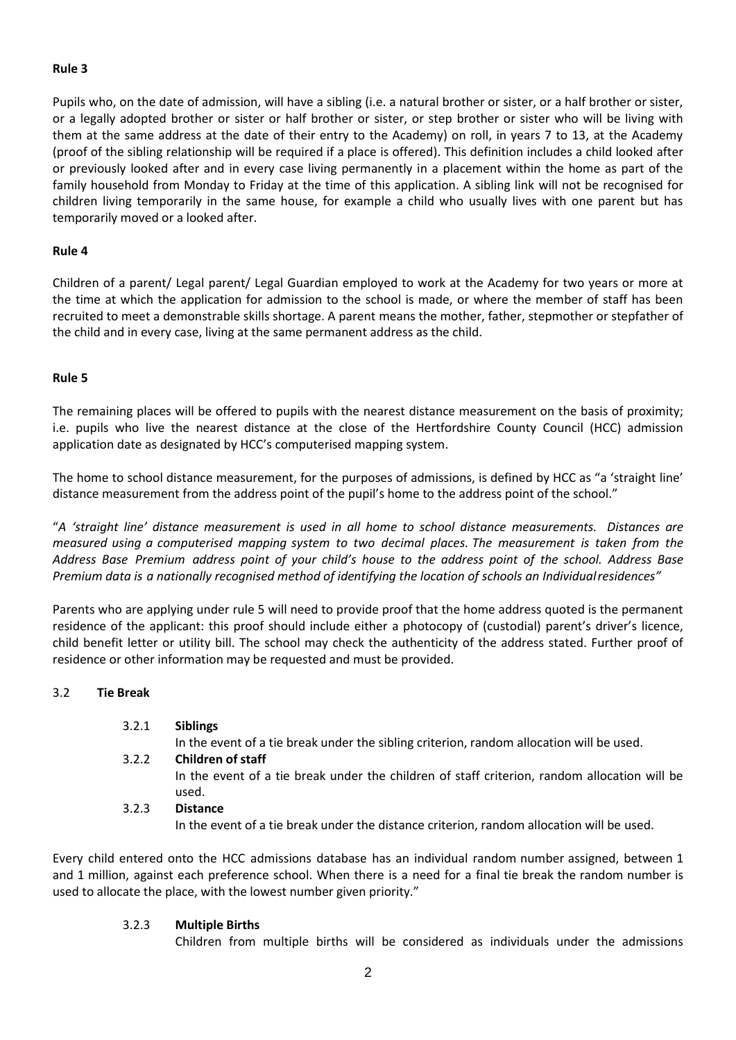## **Rule 3**

Pupils who, on the date of admission, will have a sibling (i.e. a natural brother or sister, or a half brother or sister, or a legally adopted brother or sister or half brother or sister, or step brother or sister who will be living with them at the same address at the date of their entry to the Academy) on roll, in years 7 to 13, at the Academy (proof of the sibling relationship will be required if a place is offered). This definition includes a child looked after or previously looked after and in every case living permanently in a placement within the home as part of the family household from Monday to Friday at the time of this application. A sibling link will not be recognised for children living temporarily in the same house, for example a child who usually lives with one parent but has temporarily moved or a looked after.

## **Rule 4**

Children of a parent/ Legal parent/ Legal Guardian employed to work at the Academy for two years or more at the time at which the application for admission to the school is made, or where the member of staff has been recruited to meet a demonstrable skills shortage. A parent means the mother, father, stepmother or stepfather of the child and in every case, living at the same permanent address as the child.

## **Rule 5**

The remaining places will be offered to pupils with the nearest distance measurement on the basis of proximity; i.e. pupils who live the nearest distance at the close of the Hertfordshire County Council (HCC) admission application date as designated by HCC's computerised mapping system.

The home to school distance measurement, for the purposes of admissions, is defined by HCC as "a 'straight line' distance measurement from the address point of the pupil's home to the address point of the school."

"*A 'straight line' distance measurement is used in all home to school distance measurements. Distances are measured using a computerised mapping system to two decimal places. The measurement is taken from the Address Base Premium address point of your child's house to the address point of the school. Address Base Premium data is a nationally recognised method of identifying the location of schools an Individualresidences"*

Parents who are applying under rule 5 will need to provide proof that the home address quoted is the permanent residence of the applicant: this proof should include either a photocopy of (custodial) parent's driver's licence, child benefit letter or utility bill. The school may check the authenticity of the address stated. Further proof of residence or other information may be requested and must be provided.

## 3.2 **Tie Break**

3.2.1 **Siblings**

In the event of a tie break under the sibling criterion, random allocation will be used.

3.2.2 **Children of staff**

In the event of a tie break under the children of staff criterion, random allocation will be used.

3.2.3 **Distance**

In the event of a tie break under the distance criterion, random allocation will be used.

Every child entered onto the HCC admissions database has an individual random number assigned, between 1 and 1 million, against each preference school. When there is a need for a final tie break the random number is used to allocate the place, with the lowest number given priority."

## 3.2.3 **Multiple Births**

Children from multiple births will be considered as individuals under the admissions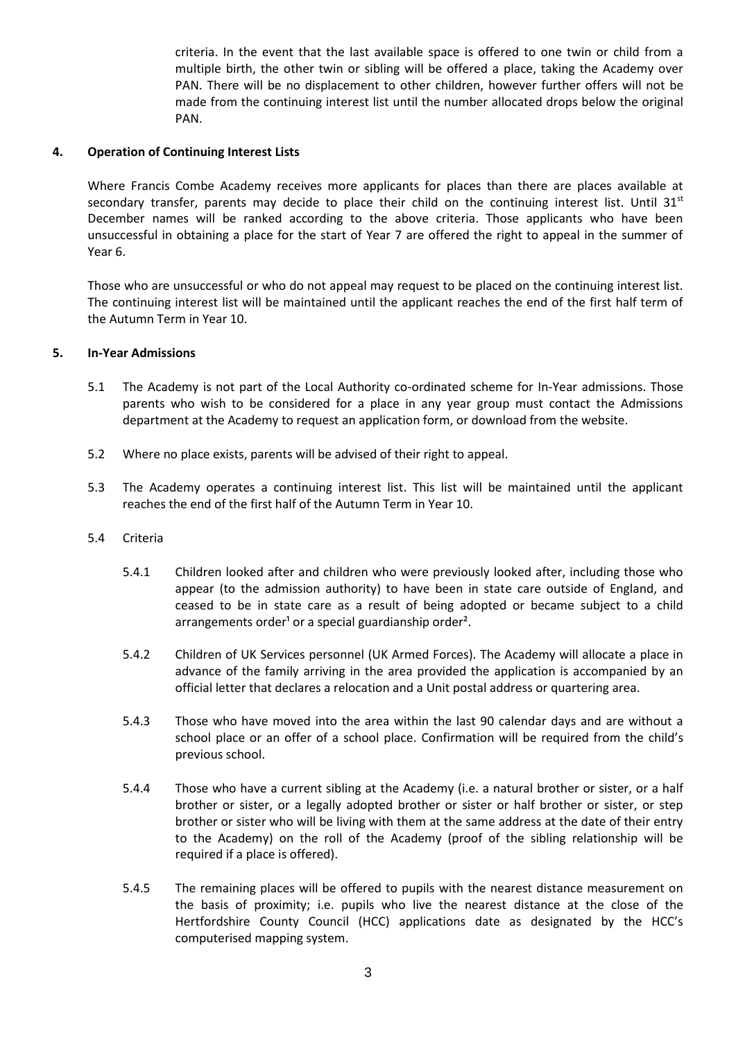criteria. In the event that the last available space is offered to one twin or child from a multiple birth, the other twin or sibling will be offered a place, taking the Academy over PAN. There will be no displacement to other children, however further offers will not be made from the continuing interest list until the number allocated drops below the original PAN.

## **4. Operation of Continuing Interest Lists**

Where Francis Combe Academy receives more applicants for places than there are places available at secondary transfer, parents may decide to place their child on the continuing interest list. Until  $31<sup>st</sup>$ December names will be ranked according to the above criteria. Those applicants who have been unsuccessful in obtaining a place for the start of Year 7 are offered the right to appeal in the summer of Year 6.

Those who are unsuccessful or who do not appeal may request to be placed on the continuing interest list. The continuing interest list will be maintained until the applicant reaches the end of the first half term of the Autumn Term in Year 10.

## **5. In-Year Admissions**

- 5.1 The Academy is not part of the Local Authority co-ordinated scheme for In-Year admissions. Those parents who wish to be considered for a place in any year group must contact the Admissions department at the Academy to request an application form, or download from the website.
- 5.2 Where no place exists, parents will be advised of their right to appeal.
- 5.3 The Academy operates a continuing interest list. This list will be maintained until the applicant reaches the end of the first half of the Autumn Term in Year 10.
- 5.4 Criteria
	- 5.4.1 Children looked after and children who were previously looked after, including those who appear (to the admission authority) to have been in state care outside of England, and ceased to be in state care as a result of being adopted or became subject to a child arrangements order<sup>1</sup> or a special guardianship order<sup>2</sup>.
	- 5.4.2 Children of UK Services personnel (UK Armed Forces). The Academy will allocate a place in advance of the family arriving in the area provided the application is accompanied by an official letter that declares a relocation and a Unit postal address or quartering area.
	- 5.4.3 Those who have moved into the area within the last 90 calendar days and are without a school place or an offer of a school place. Confirmation will be required from the child's previous school.
	- 5.4.4 Those who have a current sibling at the Academy (i.e. a natural brother or sister, or a half brother or sister, or a legally adopted brother or sister or half brother or sister, or step brother or sister who will be living with them at the same address at the date of their entry to the Academy) on the roll of the Academy (proof of the sibling relationship will be required if a place is offered).
	- 5.4.5 The remaining places will be offered to pupils with the nearest distance measurement on the basis of proximity; i.e. pupils who live the nearest distance at the close of the Hertfordshire County Council (HCC) applications date as designated by the HCC's computerised mapping system.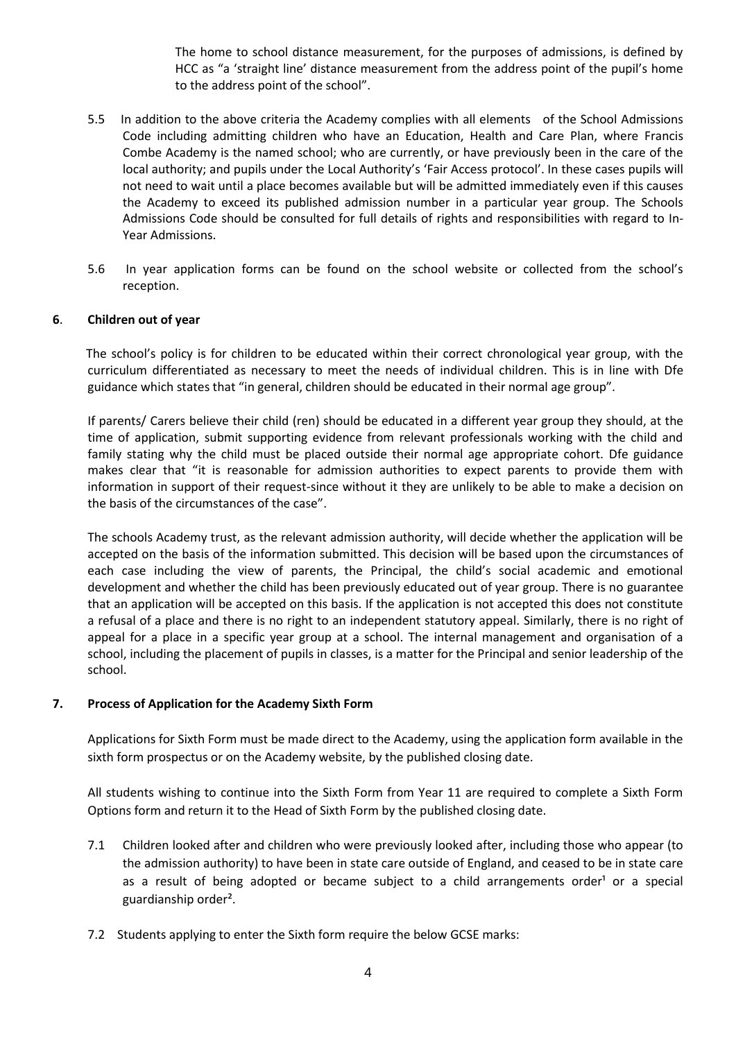The home to school distance measurement, for the purposes of admissions, is defined by HCC as "a 'straight line' distance measurement from the address point of the pupil's home to the address point of the school".

- 5.5 In addition to the above criteria the Academy complies with all elements of the School Admissions Code including admitting children who have an Education, Health and Care Plan, where Francis Combe Academy is the named school; who are currently, or have previously been in the care of the local authority; and pupils under the Local Authority's 'Fair Access protocol'. In these cases pupils will not need to wait until a place becomes available but will be admitted immediately even if this causes the Academy to exceed its published admission number in a particular year group. The Schools Admissions Code should be consulted for full details of rights and responsibilities with regard to In-Year Admissions.
- 5.6 In year application forms can be found on the school website or collected from the school's reception.

## **6**. **Children out of year**

 The school's policy is for children to be educated within their correct chronological year group, with the curriculum differentiated as necessary to meet the needs of individual children. This is in line with Dfe guidance which states that "in general, children should be educated in their normal age group".

If parents/ Carers believe their child (ren) should be educated in a different year group they should, at the time of application, submit supporting evidence from relevant professionals working with the child and family stating why the child must be placed outside their normal age appropriate cohort. Dfe guidance makes clear that "it is reasonable for admission authorities to expect parents to provide them with information in support of their request-since without it they are unlikely to be able to make a decision on the basis of the circumstances of the case".

The schools Academy trust, as the relevant admission authority, will decide whether the application will be accepted on the basis of the information submitted. This decision will be based upon the circumstances of each case including the view of parents, the Principal, the child's social academic and emotional development and whether the child has been previously educated out of year group. There is no guarantee that an application will be accepted on this basis. If the application is not accepted this does not constitute a refusal of a place and there is no right to an independent statutory appeal. Similarly, there is no right of appeal for a place in a specific year group at a school. The internal management and organisation of a school, including the placement of pupils in classes, is a matter for the Principal and senior leadership of the school.

## **7. Process of Application for the Academy Sixth Form**

Applications for Sixth Form must be made direct to the Academy, using the application form available in the sixth form prospectus or on the Academy website, by the published closing date.

All students wishing to continue into the Sixth Form from Year 11 are required to complete a Sixth Form Options form and return it to the Head of Sixth Form by the published closing date.

- 7.1 Children looked after and children who were previously looked after, including those who appear (to the admission authority) to have been in state care outside of England, and ceased to be in state care as a result of being adopted or became subject to a child arrangements order<sup>1</sup> or a special guardianship order².
- 7.2 Students applying to enter the Sixth form require the below GCSE marks: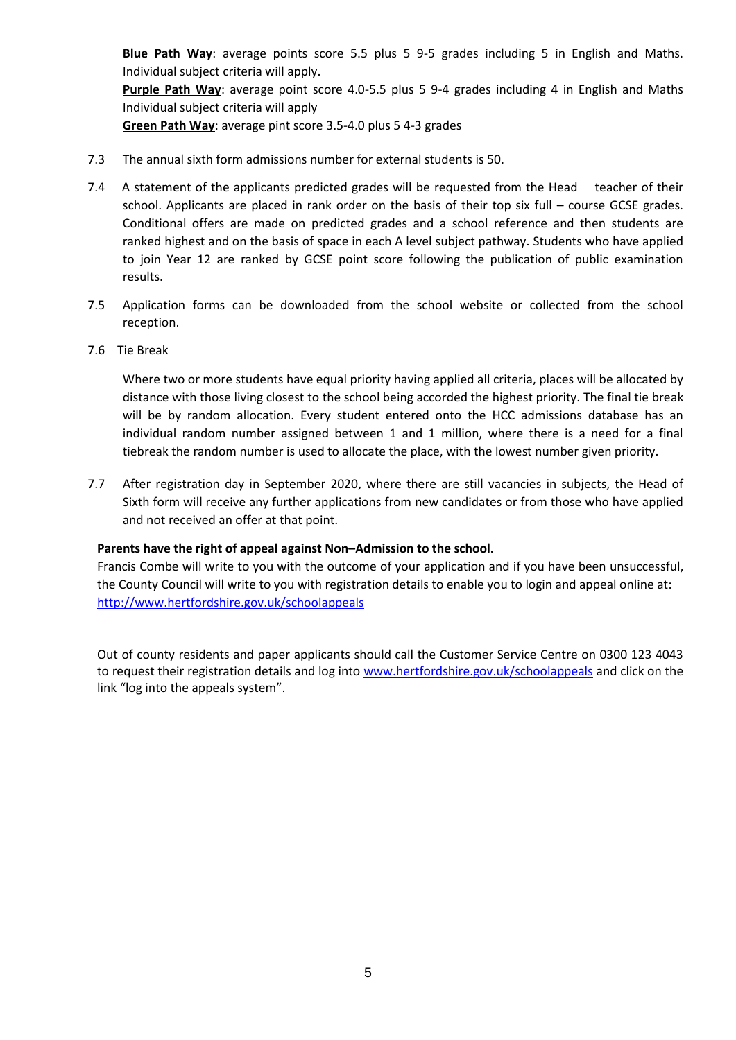**Blue Path Way**: average points score 5.5 plus 5 9-5 grades including 5 in English and Maths. Individual subject criteria will apply. **Purple Path Way**: average point score 4.0-5.5 plus 5 9-4 grades including 4 in English and Maths Individual subject criteria will apply **Green Path Way**: average pint score 3.5-4.0 plus 5 4-3 grades

- 7.3 The annual sixth form admissions number for external students is 50.
- 7.4 A statement of the applicants predicted grades will be requested from the Head teacher of their school. Applicants are placed in rank order on the basis of their top six full – course GCSE grades. Conditional offers are made on predicted grades and a school reference and then students are ranked highest and on the basis of space in each A level subject pathway. Students who have applied to join Year 12 are ranked by GCSE point score following the publication of public examination results.
- 7.5 Application forms can be downloaded from the school website or collected from the school reception.
- 7.6 Tie Break

Where two or more students have equal priority having applied all criteria, places will be allocated by distance with those living closest to the school being accorded the highest priority. The final tie break will be by random allocation. Every student entered onto the HCC admissions database has an individual random number assigned between 1 and 1 million, where there is a need for a final tiebreak the random number is used to allocate the place, with the lowest number given priority.

7.7 After registration day in September 2020, where there are still vacancies in subjects, the Head of Sixth form will receive any further applications from new candidates or from those who have applied and not received an offer at that point.

## **Parents have the right of appeal against Non–Admission to the school.**

Francis Combe will write to you with the outcome of your application and if you have been unsuccessful, the County Council will write to you with registration details to enable you to login and appeal online at: <http://www.hertfordshire.gov.uk/schoolappeals>

Out of county residents and paper applicants should call the Customer Service Centre on 0300 123 4043 to request their registration details and log into [www.hertfordshire.gov.uk/schoolappeals](http://www.hertfordshire.gov.uk/schoolappeals) and click on the link "log into the appeals system".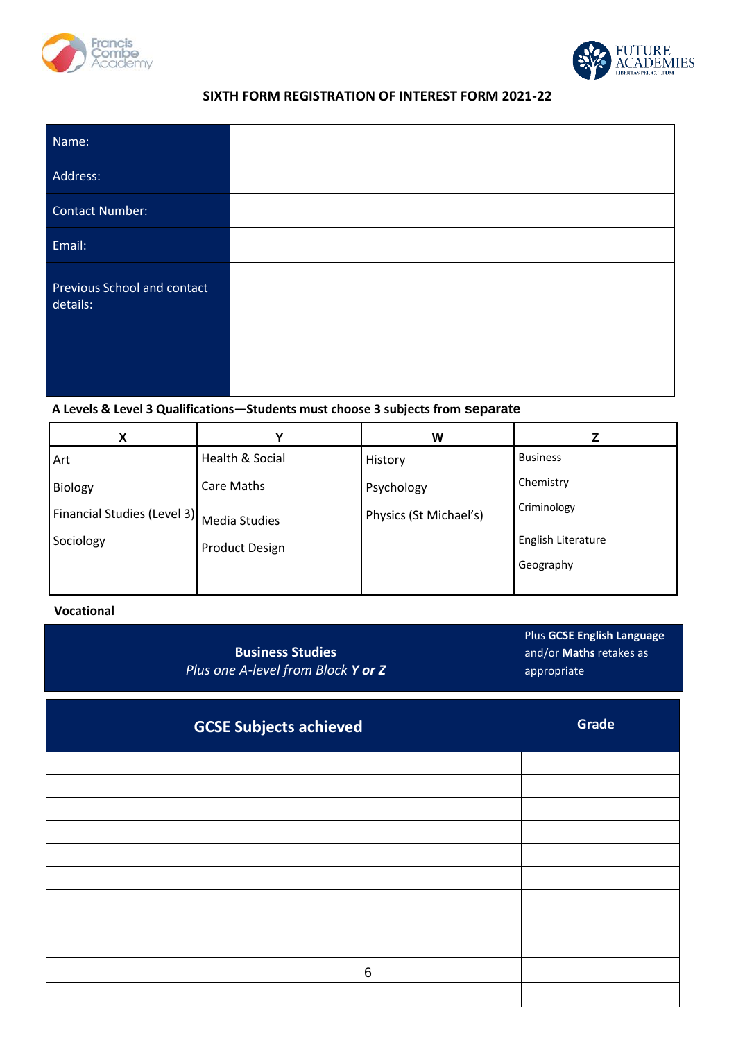



## **SIXTH FORM REGISTRATION OF INTEREST FORM 2021-22**

| Name:                                   |  |
|-----------------------------------------|--|
| Address:                                |  |
| Contact Number:                         |  |
| Email:                                  |  |
| Previous School and contact<br>details: |  |

**A Levels & Level 3 Qualifications—Students must choose 3 subjects from separate** 

| X                           |                      | W                      |                    |
|-----------------------------|----------------------|------------------------|--------------------|
| Art                         | Health & Social      | History                | <b>Business</b>    |
| Biology                     | Care Maths           | Psychology             | Chemistry          |
| Financial Studies (Level 3) | <b>Media Studies</b> | Physics (St Michael's) | Criminology        |
| Sociology                   | Product Design       |                        | English Literature |
|                             |                      |                        | Geography          |
|                             |                      |                        |                    |

### **Vocational**

| <b>Business Studies</b><br>Plus one A-level from Block Yor Z | Plus GCSE English Language<br>and/or Maths retakes as<br>appropriate |
|--------------------------------------------------------------|----------------------------------------------------------------------|
| <b>GCSE Subjects achieved</b>                                | Grade                                                                |
|                                                              |                                                                      |
|                                                              |                                                                      |
|                                                              |                                                                      |
|                                                              |                                                                      |
|                                                              |                                                                      |
|                                                              |                                                                      |
|                                                              |                                                                      |
|                                                              |                                                                      |
|                                                              |                                                                      |
| 6                                                            |                                                                      |
|                                                              |                                                                      |
|                                                              |                                                                      |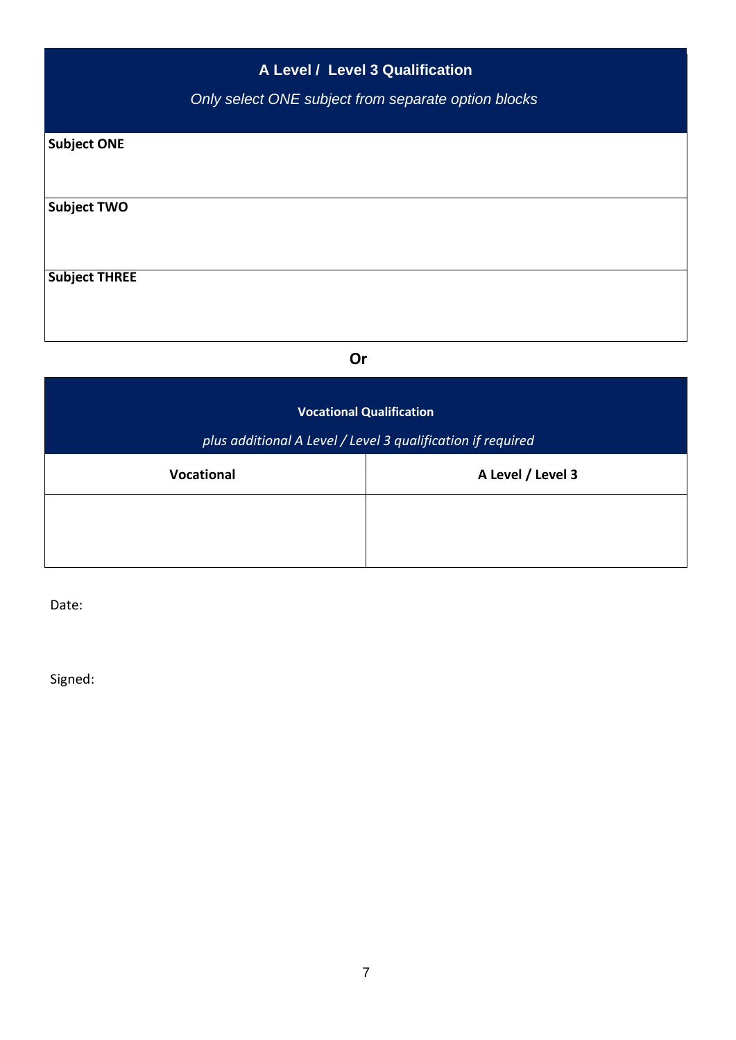|                      | A Level / Level 3 Qualification<br>Only select ONE subject from separate option blocks |
|----------------------|----------------------------------------------------------------------------------------|
| <b>Subject ONE</b>   |                                                                                        |
| <b>Subject TWO</b>   |                                                                                        |
| <b>Subject THREE</b> |                                                                                        |
|                      |                                                                                        |

**Or**

| <b>Vocational Qualification</b>                             |                   |  |
|-------------------------------------------------------------|-------------------|--|
| plus additional A Level / Level 3 qualification if required |                   |  |
| <b>Vocational</b>                                           | A Level / Level 3 |  |
|                                                             |                   |  |
|                                                             |                   |  |

Date:

Signed: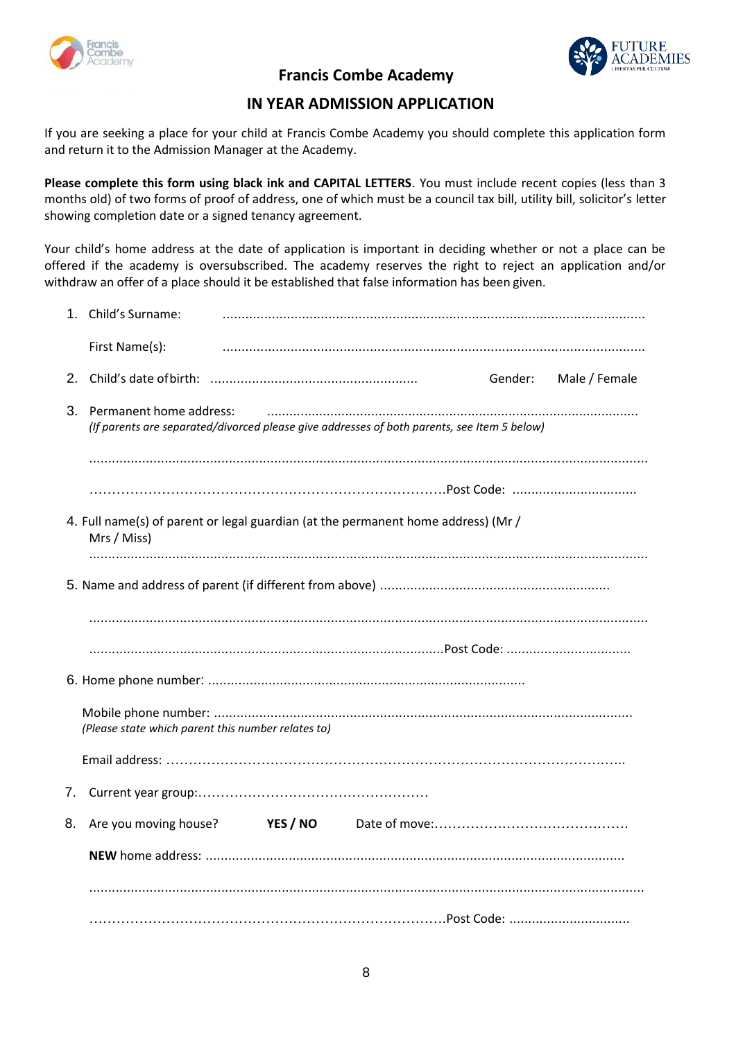



## **Francis Combe Academy**

## **IN YEAR ADMISSION APPLICATION**

If you are seeking a place for your child at Francis Combe Academy you should complete this application form and return it to the Admission Manager at the Academy.

**Please complete this form using black ink and CAPITAL LETTERS**. You must include recent copies (less than 3 months old) of two forms of proof of address, one of which must be a council tax bill, utility bill, solicitor's letter showing completion date or a signed tenancy agreement.

Your child's home address at the date of application is important in deciding whether or not a place can be offered if the academy is oversubscribed. The academy reserves the right to reject an application and/or withdraw an offer of a place should it be established that false information has been given.

|    | 1. Child's Surname:                                                                                                       |  |
|----|---------------------------------------------------------------------------------------------------------------------------|--|
|    | First Name(s):                                                                                                            |  |
|    | Gender:<br>Male / Female                                                                                                  |  |
|    | 3. Permanent home address:<br>(If parents are separated/divorced please give addresses of both parents, see Item 5 below) |  |
|    |                                                                                                                           |  |
|    | 4. Full name(s) of parent or legal guardian (at the permanent home address) (Mr /<br>Mrs / Miss)                          |  |
|    |                                                                                                                           |  |
|    |                                                                                                                           |  |
|    |                                                                                                                           |  |
|    | (Please state which parent this number relates to)                                                                        |  |
|    |                                                                                                                           |  |
| 7. |                                                                                                                           |  |
| 8. | Are you moving house? YES / NO                                                                                            |  |
|    |                                                                                                                           |  |
|    |                                                                                                                           |  |
|    |                                                                                                                           |  |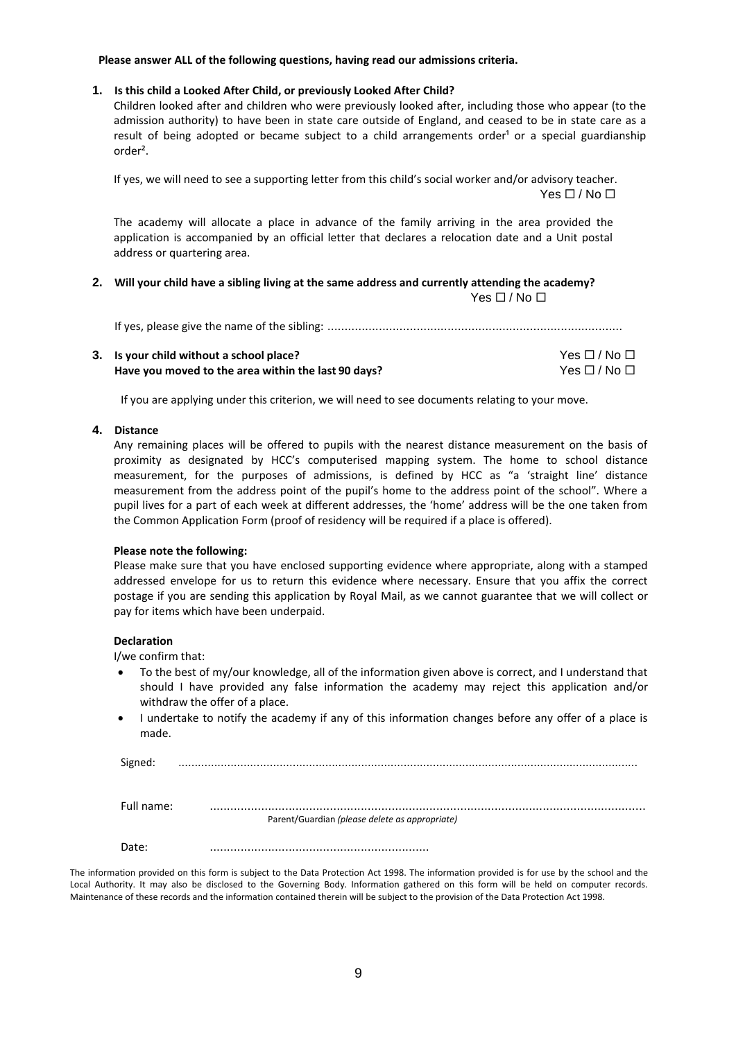### **Please answer ALL of the following questions, having read our admissions criteria.**

### **1. Is this child a Looked After Child, or previously Looked After Child?**

Children looked after and children who were previously looked after, including those who appear (to the admission authority) to have been in state care outside of England, and ceased to be in state care as a result of being adopted or became subject to a child arrangements order<sup>1</sup> or a special guardianship order².

If yes, we will need to see a supporting letter from this child's social worker and/or advisory teacher. Yes  $\Box$  / No  $\Box$ 

The academy will allocate a place in advance of the family arriving in the area provided the application is accompanied by an official letter that declares a relocation date and a Unit postal address or quartering area.

### **2. Will your child have a sibling living at the same address and currently attending the academy?** Yes  $\Box$  / No  $\Box$

| 3. Is your child without a school place?            | $Yes \Box / No \Box$         |  |
|-----------------------------------------------------|------------------------------|--|
| Have you moved to the area within the last 90 days? | Yes $\square$ / No $\square$ |  |

If you are applying under this criterion, we will need to see documents relating to your move.

### **4. Distance**

Any remaining places will be offered to pupils with the nearest distance measurement on the basis of proximity as designated by HCC's computerised mapping system. The home to school distance measurement, for the purposes of admissions, is defined by HCC as "a 'straight line' distance measurement from the address point of the pupil's home to the address point of the school". Where a pupil lives for a part of each week at different addresses, the 'home' address will be the one taken from the Common Application Form (proof of residency will be required if a place is offered).

#### **Please note the following:**

Please make sure that you have enclosed supporting evidence where appropriate, along with a stamped addressed envelope for us to return this evidence where necessary. Ensure that you affix the correct postage if you are sending this application by Royal Mail, as we cannot guarantee that we will collect or pay for items which have been underpaid.

### **Declaration**

I/we confirm that:

- To the best of my/our knowledge, all of the information given above is correct, and I understand that should I have provided any false information the academy may reject this application and/or withdraw the offer of a place.
- I undertake to notify the academy if any of this information changes before any offer of a place is made.

| -- |  |
|----|--|
|----|--|

Full name: ............................................................................................................................... Parent/Guardian *(please delete as appropriate)*

Date: ................................................................

The information provided on this form is subject to the Data Protection Act 1998. The information provided is for use by the school and the Local Authority. It may also be disclosed to the Governing Body. Information gathered on this form will be held on computer records. Maintenance of these records and the information contained therein will be subject to the provision of the Data Protection Act 1998.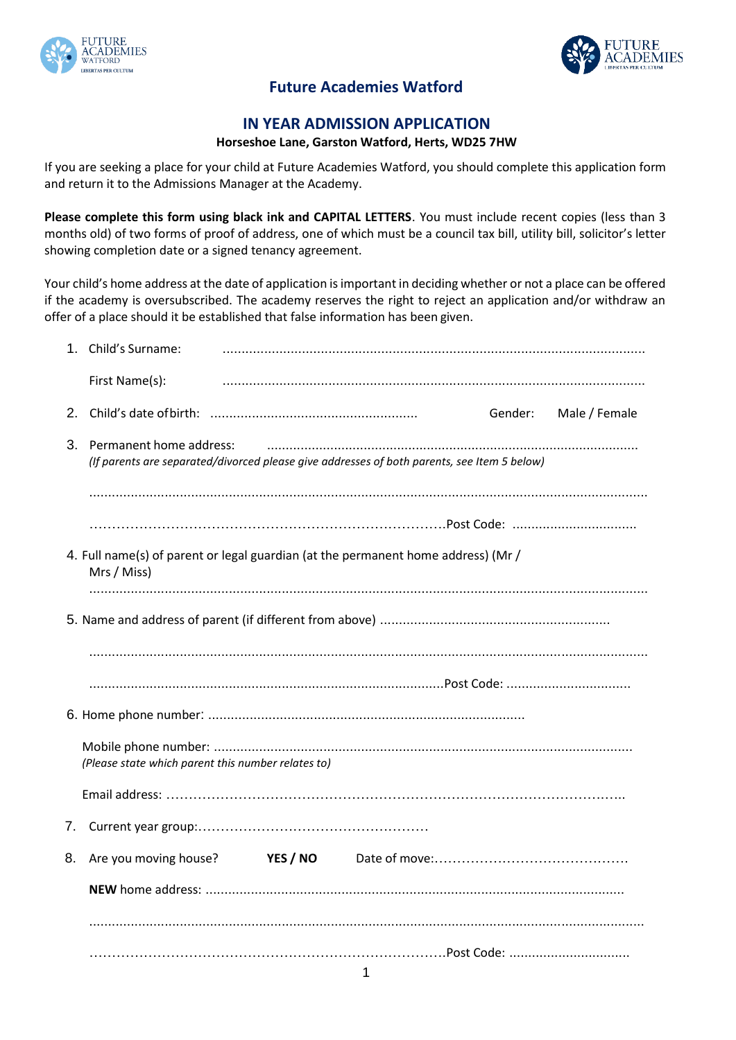



## **Future Academies Watford**

## **IN YEAR ADMISSION APPLICATION**

## **Horseshoe Lane, Garston Watford, Herts, WD25 7HW**

If you are seeking a place for your child at Future Academies Watford, you should complete this application form and return it to the Admissions Manager at the Academy.

**Please complete this form using black ink and CAPITAL LETTERS**. You must include recent copies (less than 3 months old) of two forms of proof of address, one of which must be a council tax bill, utility bill, solicitor's letter showing completion date or a signed tenancy agreement.

Your child's home address at the date of application is important in deciding whether or not a place can be offered if the academy is oversubscribed. The academy reserves the right to reject an application and/or withdraw an offer of a place should it be established that false information has been given.

|    | 1. Child's Surname:                                                                                                       |  |
|----|---------------------------------------------------------------------------------------------------------------------------|--|
|    | First Name(s):                                                                                                            |  |
|    | Gender:<br>Male / Female                                                                                                  |  |
|    | 3. Permanent home address:<br>(If parents are separated/divorced please give addresses of both parents, see Item 5 below) |  |
|    |                                                                                                                           |  |
|    |                                                                                                                           |  |
|    | 4. Full name(s) of parent or legal guardian (at the permanent home address) (Mr /<br>Mrs / Miss)                          |  |
|    |                                                                                                                           |  |
|    |                                                                                                                           |  |
|    |                                                                                                                           |  |
|    |                                                                                                                           |  |
|    |                                                                                                                           |  |
|    | (Please state which parent this number relates to)                                                                        |  |
|    |                                                                                                                           |  |
| 7. |                                                                                                                           |  |
| 8. | Are you moving house?<br>YES / NO                                                                                         |  |
|    |                                                                                                                           |  |
|    |                                                                                                                           |  |
|    |                                                                                                                           |  |
|    |                                                                                                                           |  |